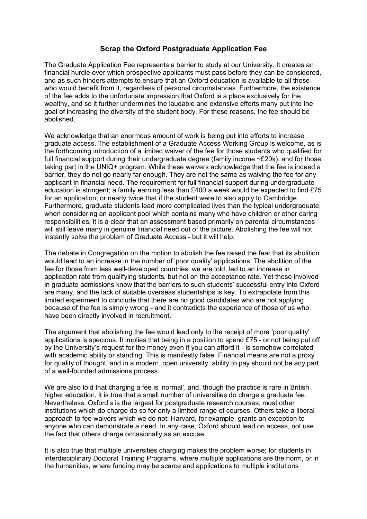## **Scrap the Oxford Postgraduate Application Fee**

The Graduate Application Fee represents a barrier to study at our University. It creates an financial hurdle over which prospective applicants must pass before they can be considered, and as such hinders attempts to ensure that an Oxford education is available to all those who would benefit from it, regardless of personal circumstances. Furthermore, the existence of the fee adds to the unfortunate impression that Oxford is a place exclusively for the wealthy, and so it further undermines the laudable and extensive efforts many put into the goal of increasing the diversity of the student body. For these reasons, the fee should be abolished.

We acknowledge that an enormous amount of work is being put into efforts to increase graduate access. The establishment of a Graduate Access Working Group is welcome, as is the forthcoming introduction of a limited waiver of the fee for those students who qualified for full financial support during their undergraduate degree (family income  $\sim$ £20k), and for those taking part in the UNIQ+ program. While these waivers acknowledge that the fee is indeed a barrier, they do not go nearly far enough. They are not the same as waiving the fee for any applicant in financial need. The requirement for full financial support during undergraduate education is stringent; a family earning less than £400 a week would be expected to find £75 for an application; or nearly twice that if the student were to also apply to Cambridge. Furthermore, graduate students lead more complicated lives than the typical undergraduate; when considering an applicant pool which contains many who have children or other caring responsibilities, it is a clear that an assessment based primarily on parental circumstances will still leave many in genuine financial need out of the picture. Abolishing the fee will not instantly solve the problem of Graduate Access - but it will help.

The debate in Congregation on the motion to abolish the fee raised the fear that its abolition would lead to an increase in the number of 'poor quality' applications. The abolition of the fee for those from less well-developed countries, we are told, led to an increase in application rate from qualifying students, but not on the acceptance rate. Yet those involved in graduate admissions know that the barriers to such students' successful entry into Oxford are many, and the lack of suitable overseas studentships is key. To extrapolate from this limited experiment to conclude that there are no good candidates who are not applying because of the fee is simply wrong - and it contradicts the experience of those of us who have been directly involved in recruitment.

The argument that abolishing the fee would lead only to the receipt of more 'poor quality' applications is specious. It implies that being in a position to spend £75 - or not being put off by the University's request for the money even if you can afford it - is somehow correlated with academic ability or standing. This is manifestly false. Financial means are not a proxy for quality of thought, and in a modern, open university, ability to pay should not be any part of a well-founded admissions process.

We are also told that charging a fee is 'normal', and, though the practice is rare in British higher education, it is true that a small number of universities do charge a graduate fee. Nevertheless, Oxford's is the largest for postgraduate research courses, most other institutions which do charge do so for only a limited range of courses. Others take a liberal approach to fee waivers which we do not; Harvard, for example, grants an exception to anyone who can demonstrate a need. In any case, Oxford should lead on access, not use the fact that others charge occasionally as an excuse.

It is also true that multiple universities charging makes the problem worse; for students in interdisciplinary Doctoral Training Programs, where multiple applications are the norm, or in the humanities, where funding may be scarce and applications to multiple institutions